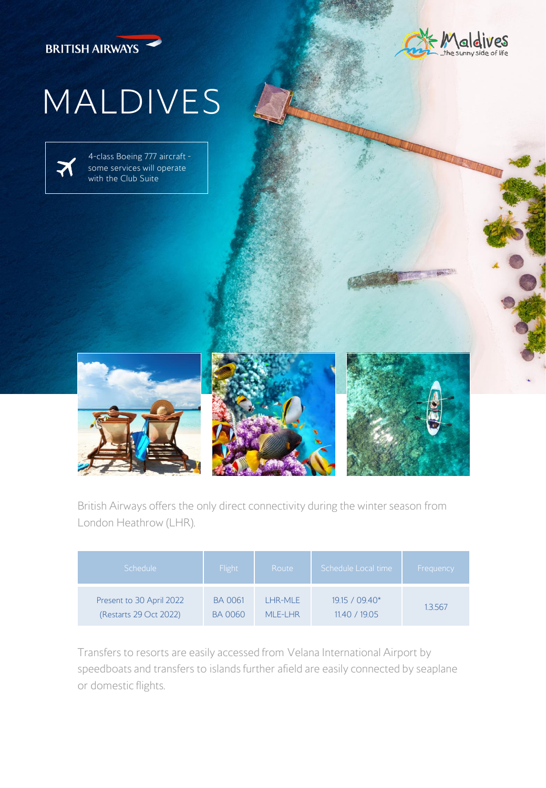



## MALDIVES

4-class Boeing 777 aircraft some services will operate with the Club Suite







British Airways offers the only direct connectivity during the winter season from London Heathrow (LHR).

| Schedule                 | <b>Flight</b>  | Route     | Schedule Local time | Frequency |
|--------------------------|----------------|-----------|---------------------|-----------|
| Present to 30 April 2022 | <b>BA 0061</b> | LHR-MLE   | 19.15 / 09.40*      | 1.3.567   |
| (Restarts 29 Oct 2022)   | <b>BA0060</b>  | MI F-I HR | 11.40 / 19.05       |           |

Transfers to resorts are easily accessed from Velana International Airport by speedboats and transfers to islands further afield are easily connected by seaplane or domestic flights.